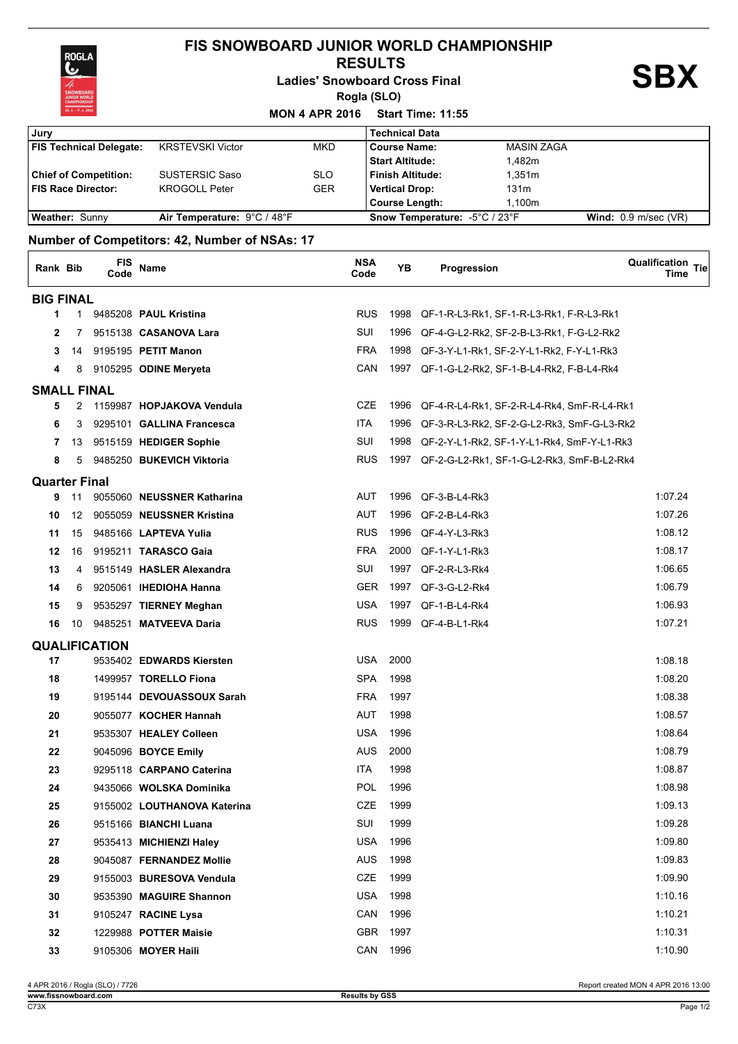

## **FIS SNOWBOARD JUNIOR WORLD CHAMPIONSHIP**

 **RESULTS**

**Ladies' Snowboard Cross Final**

**Rogla (SLO)**

**SBX**

| $30.3 - 7.42016$               |                             | <b>MON 4 APR 2016</b> | <b>Start Time: 11:55</b>      |                   |                               |
|--------------------------------|-----------------------------|-----------------------|-------------------------------|-------------------|-------------------------------|
| , Jury                         |                             |                       | <b>Technical Data</b>         |                   |                               |
| <b>FIS Technical Delegate:</b> | <b>KRSTEVSKI Victor</b>     | <b>MKD</b>            | l Course Name:                | <b>MASIN ZAGA</b> |                               |
|                                |                             |                       | Start Altitude:               | 1.482m            |                               |
| <b>Chief of Competition:</b>   | <b>SUSTERSIC Saso</b>       | <b>SLO</b>            | Finish Altitude:              | 1.351m            |                               |
| <b>FIS Race Director:</b>      | <b>KROGOLL Peter</b>        | <b>GER</b>            | Vertical Drop:                | 131 <sub>m</sub>  |                               |
|                                |                             |                       | Course Length:                | 1.100m            |                               |
| <b>Weather: Sunny</b>          | Air Temperature: 9°C / 48°F |                       | Snow Temperature: -5°C / 23°F |                   | <b>Wind:</b> $0.9$ m/sec (VR) |

## **Number of Competitors: 42, Number of NSAs: 17**

| Rank Bib             |             | FIS<br>Code          | Name                        | <b>NSA</b><br>Code | YB   | Progression                                     | Qualification Tie<br>Time |
|----------------------|-------------|----------------------|-----------------------------|--------------------|------|-------------------------------------------------|---------------------------|
| <b>BIG FINAL</b>     |             |                      |                             |                    |      |                                                 |                           |
| 1                    | $\mathbf 1$ |                      | 9485208 PAUL Kristina       | <b>RUS</b>         | 1998 | QF-1-R-L3-Rk1, SF-1-R-L3-Rk1, F-R-L3-Rk1        |                           |
| 2                    | 7           |                      | 9515138 CASANOVA Lara       | SUI                | 1996 | QF-4-G-L2-Rk2, SF-2-B-L3-Rk1, F-G-L2-Rk2        |                           |
| 3                    | 14          |                      | 9195195 PETIT Manon         | <b>FRA</b>         |      | 1998 QF-3-Y-L1-Rk1, SF-2-Y-L1-Rk2, F-Y-L1-Rk3   |                           |
| 4                    | 8           |                      | 9105295 ODINE Meryeta       | CAN                |      | 1997 QF-1-G-L2-Rk2, SF-1-B-L4-Rk2, F-B-L4-Rk4   |                           |
| <b>SMALL FINAL</b>   |             |                      |                             |                    |      |                                                 |                           |
| 5                    |             |                      | 2 1159987 HOPJAKOVA Vendula | CZE                |      | 1996 QF-4-R-L4-Rk1, SF-2-R-L4-Rk4, SmF-R-L4-Rk1 |                           |
| 6                    | 3           |                      | 9295101 GALLINA Francesca   | <b>ITA</b>         |      | 1996 QF-3-R-L3-Rk2, SF-2-G-L2-Rk3, SmF-G-L3-Rk2 |                           |
| 7                    | 13          |                      | 9515159 HEDIGER Sophie      | SUI                |      | 1998 QF-2-Y-L1-Rk2, SF-1-Y-L1-Rk4, SmF-Y-L1-Rk3 |                           |
| 8                    | 5           |                      | 9485250 BUKEVICH Viktoria   | <b>RUS</b>         |      | 1997 QF-2-G-L2-Rk1, SF-1-G-L2-Rk3, SmF-B-L2-Rk4 |                           |
| <b>Quarter Final</b> |             |                      |                             |                    |      |                                                 |                           |
| 9                    | 11          |                      | 9055060 NEUSSNER Katharina  | AUT                | 1996 | QF-3-B-L4-Rk3                                   | 1:07.24                   |
| 10                   | 12          |                      | 9055059 NEUSSNER Kristina   | AUT                | 1996 | QF-2-B-L4-Rk3                                   | 1:07.26                   |
| 11                   | 15          |                      | 9485166 LAPTEVA Yulia       | <b>RUS</b>         | 1996 | QF-4-Y-L3-Rk3                                   | 1:08.12                   |
| 12                   | 16          |                      | 9195211 TARASCO Gaia        | <b>FRA</b>         | 2000 | QF-1-Y-L1-Rk3                                   | 1:08.17                   |
| 13                   | 4           |                      | 9515149 HASLER Alexandra    | SUI                |      | 1997 QF-2-R-L3-Rk4                              | 1:06.65                   |
| 14                   | 6           |                      | 9205061 IHEDIOHA Hanna      | <b>GER</b>         |      | 1997 QF-3-G-L2-Rk4                              | 1:06.79                   |
| 15                   | 9           |                      | 9535297 TIERNEY Meghan      | USA                |      | 1997 QF-1-B-L4-Rk4                              | 1:06.93                   |
| 16                   | 10          |                      | 9485251 MATVEEVA Daria      | <b>RUS</b>         |      | 1999 QF-4-B-L1-Rk4                              | 1:07.21                   |
|                      |             | <b>QUALIFICATION</b> |                             |                    |      |                                                 |                           |
| 17                   |             |                      | 9535402 EDWARDS Kiersten    | <b>USA</b>         | 2000 |                                                 | 1:08.18                   |
| 18                   |             |                      | 1499957 TORELLO Fiona       | <b>SPA</b>         | 1998 |                                                 | 1:08.20                   |
| 19                   |             |                      | 9195144 DEVOUASSOUX Sarah   | <b>FRA</b>         | 1997 |                                                 | 1:08.38                   |
| 20                   |             |                      | 9055077 KOCHER Hannah       | AUT                | 1998 |                                                 | 1:08.57                   |
| 21                   |             |                      | 9535307 HEALEY Colleen      | <b>USA</b>         | 1996 |                                                 | 1:08.64                   |
| 22                   |             |                      | 9045096 BOYCE Emily         | <b>AUS</b>         | 2000 |                                                 | 1:08.79                   |
| 23                   |             |                      | 9295118 CARPANO Caterina    | ITA                | 1998 |                                                 | 1:08.87                   |
| 24                   |             |                      | 9435066 WOLSKA Dominika     | <b>POL</b>         | 1996 |                                                 | 1:08.98                   |
| 25                   |             |                      | 9155002 LOUTHANOVA Katerina | CZE                | 1999 |                                                 | 1:09.13                   |
| 26                   |             |                      | 9515166 BIANCHI Luana       | SUI                | 1999 |                                                 | 1:09.28                   |
| 27                   |             |                      | 9535413 MICHIENZI Haley     | <b>USA</b>         | 1996 |                                                 | 1:09.80                   |
| 28                   |             |                      | 9045087 FERNANDEZ Mollie    | <b>AUS</b>         | 1998 |                                                 | 1:09.83                   |
| 29                   |             |                      | 9155003 BURESOVA Vendula    | CZE                | 1999 |                                                 | 1:09.90                   |
| 30                   |             |                      | 9535390 MAGUIRE Shannon     | <b>USA</b>         | 1998 |                                                 | 1:10.16                   |
| 31                   |             |                      | 9105247 RACINE Lysa         | CAN                | 1996 |                                                 | 1:10.21                   |
| 32                   |             |                      | 1229988 POTTER Maisie       | GBR                | 1997 |                                                 | 1:10.31                   |
| 33                   |             |                      | 9105306 MOYER Haili         | CAN                | 1996 |                                                 | 1:10.90                   |

Report created MON 4 APR 2016 13:00<br>Results by GSS